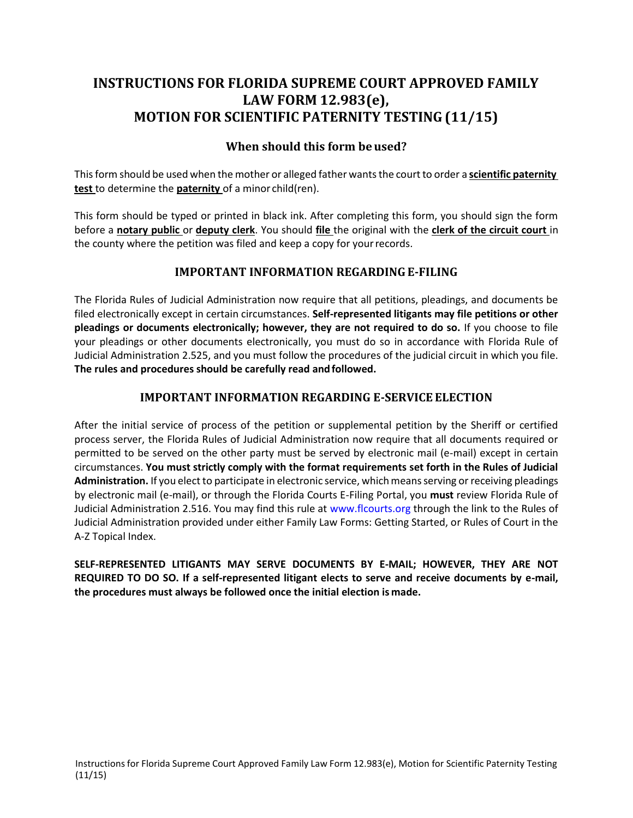# **INSTRUCTIONS FOR FLORIDA SUPREME COURT APPROVED FAMILY LAW FORM 12.983(e), MOTION FOR SCIENTIFIC PATERNITY TESTING (11/15)**

# **When should this form be used?**

 This form should be used when the mother or alleged father wants the court to order a **scientific paternity test** to determine the **paternity** of a minor child(ren).

 This form should be typed or printed in black ink. After completing this form, you should sign the form  before a **notary public** or **deputy clerk**. You should **file** the original with the **clerk of the circuit court** in the county where the petition was filed and keep a copy for your records.

## **IMPORTANT INFORMATION REGARDING E-FILING**

 The Florida Rules of Judicial Administration now require that all petitions, pleadings, and documents be  **pleadings or documents electronically; however, they are not required to do so.** If you choose to file your pleadings or other documents electronically, you must do so in accordance with Florida Rule of Judicial Administration 2.525, and you must follow the procedures of the judicial circuit in which you file.  **The rules and procedures should be carefully read and followed.**  filed electronically except in certain circumstances. **Self-represented litigants may file petitions or other** 

#### **IMPORTANT INFORMATION REGARDING E-SERVICE ELECTION**

 After the initial service of process of the petition or supplemental petition by the Sheriff or certified process server, the Florida Rules of Judicial Administration now require that all documents required or permitted to be served on the other party must be served by electronic mail (e-mail) except in certain  circumstances. **You must strictly comply with the format requirements set forth in the Rules of Judicial Administration.** If you elect to participate in electronic service, which means serving or receiving pleadings by electronic mail (e-mail), or through the Florida Courts E-Filing Portal, you **must** review Florida Rule of Judicial Administration 2.516. You may find this rule at [www.flcourts.org](http://www.flcourts.org/) through the link to the Rules of A-Z Topical Index. Judicial Administration provided under either Family Law Forms: Getting Started, or Rules of Court in the

 **SELF-REPRESENTED LITIGANTS MAY SERVE DOCUMENTS BY E-MAIL; HOWEVER, THEY ARE NOT REQUIRED TO DO SO. If a self-represented litigant elects to serve and receive documents by e-mail, the procedures must always be followed once the initial election is made.**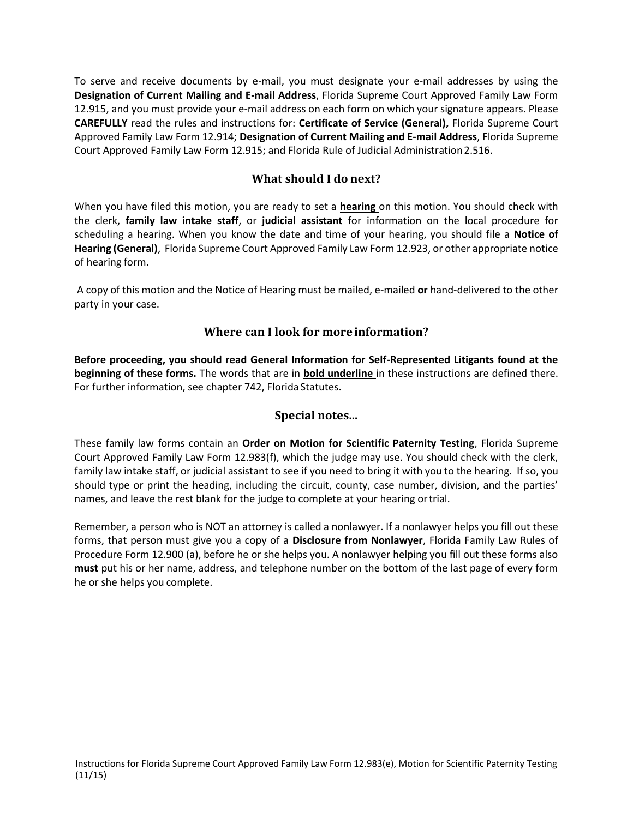To serve and receive documents by e-mail, you must designate your e-mail addresses by using the  **Designation of Current Mailing and E-mail Address**, Florida Supreme Court Approved Family Law Form 12.915, and you must provide your e-mail address on each form on which your signature appears. Please **CAREFULLY** read the rules and instructions for: **Certificate of Service (General),** Florida Supreme Court Approved Family Law Form 12.914; **Designation of Current Mailing and E-mail Address**, Florida Supreme Court Approved Family Law Form 12.915; and Florida Rule of Judicial Administration 2.516.

### **What should I do next?**

 When you have filed this motion, you are ready to set a **hearing** on this motion. You should check with  the clerk, **family law intake staff**, or **judicial assistant** for information on the local procedure for scheduling a hearing. When you know the date and time of your hearing, you should file a **Notice of Hearing (General)**, Florida Supreme Court Approved Family Law Form 12.923, or other appropriate notice of hearing form.

 A copy of this motion and the Notice of Hearing must be mailed, e-mailed **or** hand-delivered to the other party in your case.

#### **Where can I look for more information?**

 **Before proceeding, you should read General Information for Self-Represented Litigants found at the beginning of these forms.** The words that are in **bold underline** in these instructions are defined there. For further information, see chapter 742, Florida Statutes.

#### **Special notes...**

 These family law forms contain an **Order on Motion for Scientific Paternity Testing**, Florida Supreme Court Approved Family Law Form 12.983(f), which the judge may use. You should check with the clerk, family law intake staff, or judicial assistant to see if you need to bring it with you to the hearing. If so, you should type or print the heading, including the circuit, county, case number, division, and the parties' names, and leave the rest blank for the judge to complete at your hearing or trial.

 Remember, a person who is NOT an attorney is called a nonlawyer. If a nonlawyer helps you fill out these forms, that person must give you a copy of a **Disclosure from Nonlawyer**, Florida Family Law Rules of **must** put his or her name, address, and telephone number on the bottom of the last page of every form he or she helps you complete. Procedure Form 12.900 (a), before he or she helps you. A nonlawyer helping you fill out these forms also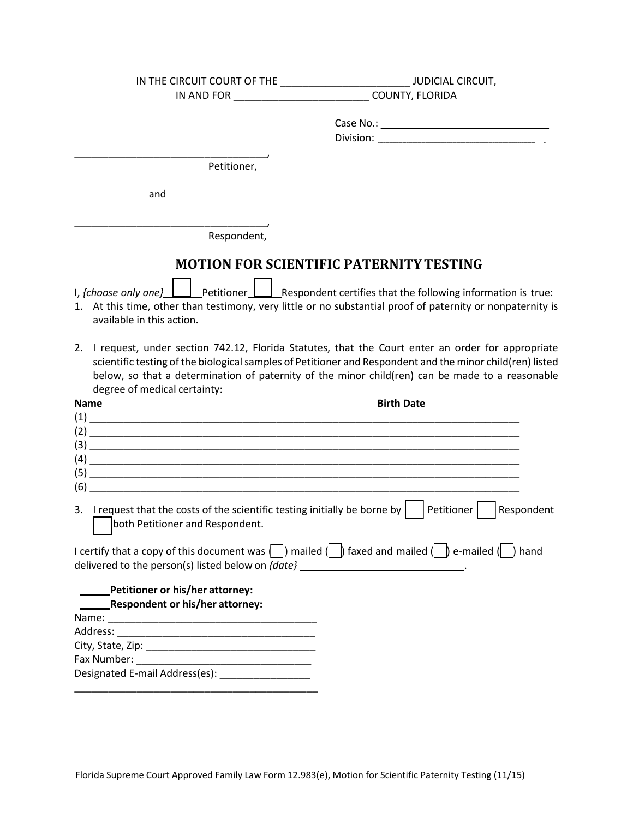|                                                                                                                                                                                                          | IN THE CIRCUIT COURT OF THE _________________________________JUDICIAL CIRCUIT,                                                                                                                                                                                                                                      |
|----------------------------------------------------------------------------------------------------------------------------------------------------------------------------------------------------------|---------------------------------------------------------------------------------------------------------------------------------------------------------------------------------------------------------------------------------------------------------------------------------------------------------------------|
|                                                                                                                                                                                                          |                                                                                                                                                                                                                                                                                                                     |
|                                                                                                                                                                                                          |                                                                                                                                                                                                                                                                                                                     |
|                                                                                                                                                                                                          |                                                                                                                                                                                                                                                                                                                     |
| Petitioner,                                                                                                                                                                                              |                                                                                                                                                                                                                                                                                                                     |
| and                                                                                                                                                                                                      |                                                                                                                                                                                                                                                                                                                     |
|                                                                                                                                                                                                          |                                                                                                                                                                                                                                                                                                                     |
| Respondent,                                                                                                                                                                                              |                                                                                                                                                                                                                                                                                                                     |
|                                                                                                                                                                                                          | <b>MOTION FOR SCIENTIFIC PATERNITY TESTING</b>                                                                                                                                                                                                                                                                      |
| available in this action.                                                                                                                                                                                | I, {choose only one} $\Box$ Petitioner $\Box$ Respondent certifies that the following information is true:<br>1. At this time, other than testimony, very little or no substantial proof of paternity or nonpaternity is                                                                                            |
| degree of medical certainty:                                                                                                                                                                             | 2. I request, under section 742.12, Florida Statutes, that the Court enter an order for appropriate<br>scientific testing of the biological samples of Petitioner and Respondent and the minor child(ren) listed<br>below, so that a determination of paternity of the minor child(ren) can be made to a reasonable |
| <b>Name</b>                                                                                                                                                                                              | <b>Birth Date</b>                                                                                                                                                                                                                                                                                                   |
|                                                                                                                                                                                                          |                                                                                                                                                                                                                                                                                                                     |
| $(2)$ $\overline{\phantom{a}}$                                                                                                                                                                           |                                                                                                                                                                                                                                                                                                                     |
|                                                                                                                                                                                                          |                                                                                                                                                                                                                                                                                                                     |
|                                                                                                                                                                                                          |                                                                                                                                                                                                                                                                                                                     |
|                                                                                                                                                                                                          |                                                                                                                                                                                                                                                                                                                     |
| 3. I request that the costs of the scientific testing initially be borne by<br>both Petitioner and Respondent.                                                                                           | Petitioner<br>Respondent                                                                                                                                                                                                                                                                                            |
| I certify that a copy of this document was $\Box$ ) mailed $(\Box)$ faxed and mailed $(\Box)$ e-mailed $(\Box)$ hand<br>delivered to the person(s) listed below on {date} _____________________________. |                                                                                                                                                                                                                                                                                                                     |
| Petitioner or his/her attorney:                                                                                                                                                                          |                                                                                                                                                                                                                                                                                                                     |
| <b>Respondent or his/her attorney:</b>                                                                                                                                                                   |                                                                                                                                                                                                                                                                                                                     |
|                                                                                                                                                                                                          |                                                                                                                                                                                                                                                                                                                     |
|                                                                                                                                                                                                          |                                                                                                                                                                                                                                                                                                                     |
|                                                                                                                                                                                                          |                                                                                                                                                                                                                                                                                                                     |
| Designated E-mail Address(es): ________________                                                                                                                                                          |                                                                                                                                                                                                                                                                                                                     |
|                                                                                                                                                                                                          |                                                                                                                                                                                                                                                                                                                     |